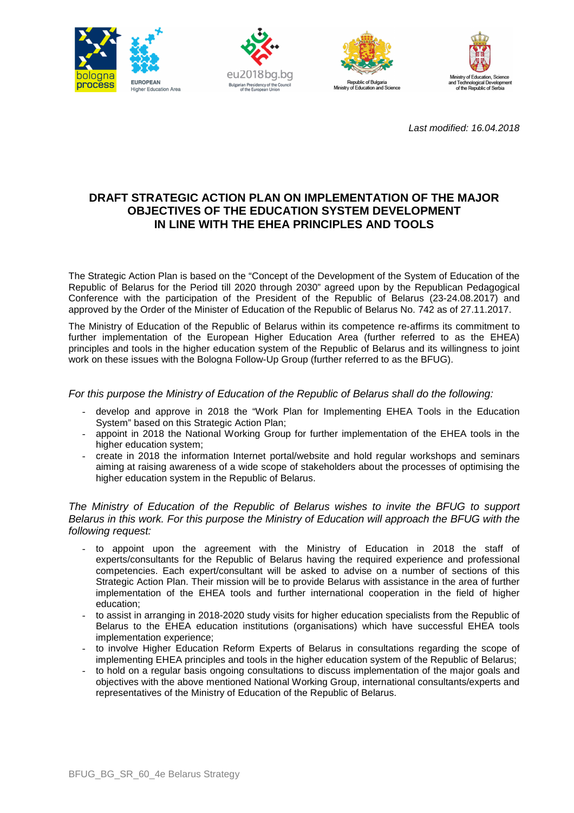







Last modified: 16.04.2018

# **DRAFT STRATEGIC ACTION PLAN ON IMPLEMENTATION OF THE MAJOR OBJECTIVES OF THE EDUCATION SYSTEM DEVELOPMENT IN LINE WITH THE EHEA PRINCIPLES AND TOOLS**

The Strategic Action Plan is based on the "Concept of the Development of the System of Education of the Republic of Belarus for the Period till 2020 through 2030" agreed upon by the Republican Pedagogical Conference with the participation of the President of the Republic of Belarus (23-24.08.2017) and approved by the Order of the Minister of Education of the Republic of Belarus No. 742 as of 27.11.2017.

The Ministry of Education of the Republic of Belarus within its competence re-affirms its commitment to further implementation of the European Higher Education Area (further referred to as the EHEA) principles and tools in the higher education system of the Republic of Belarus and its willingness to joint work on these issues with the Bologna Follow-Up Group (further referred to as the BFUG).

For this purpose the Ministry of Education of the Republic of Belarus shall do the following:

- develop and approve in 2018 the "Work Plan for Implementing EHEA Tools in the Education System" based on this Strategic Action Plan:
- appoint in 2018 the National Working Group for further implementation of the EHEA tools in the higher education system;
- create in 2018 the information Internet portal/website and hold regular workshops and seminars aiming at raising awareness of a wide scope of stakeholders about the processes of optimising the higher education system in the Republic of Belarus.

### The Ministry of Education of the Republic of Belarus wishes to invite the BFUG to support Belarus in this work. For this purpose the Ministry of Education will approach the BFUG with the following request:

- to appoint upon the agreement with the Ministry of Education in 2018 the staff of experts/consultants for the Republic of Belarus having the required experience and professional competencies. Each expert/consultant will be asked to advise on a number of sections of this Strategic Action Plan. Their mission will be to provide Belarus with assistance in the area of further implementation of the EHEA tools and further international cooperation in the field of higher education;
- to assist in arranging in 2018-2020 study visits for higher education specialists from the Republic of Belarus to the EHEA education institutions (organisations) which have successful EHEA tools implementation experience;
- to involve Higher Education Reform Experts of Belarus in consultations regarding the scope of implementing EHEA principles and tools in the higher education system of the Republic of Belarus;
- to hold on a regular basis ongoing consultations to discuss implementation of the major goals and objectives with the above mentioned National Working Group, international consultants/experts and representatives of the Ministry of Education of the Republic of Belarus.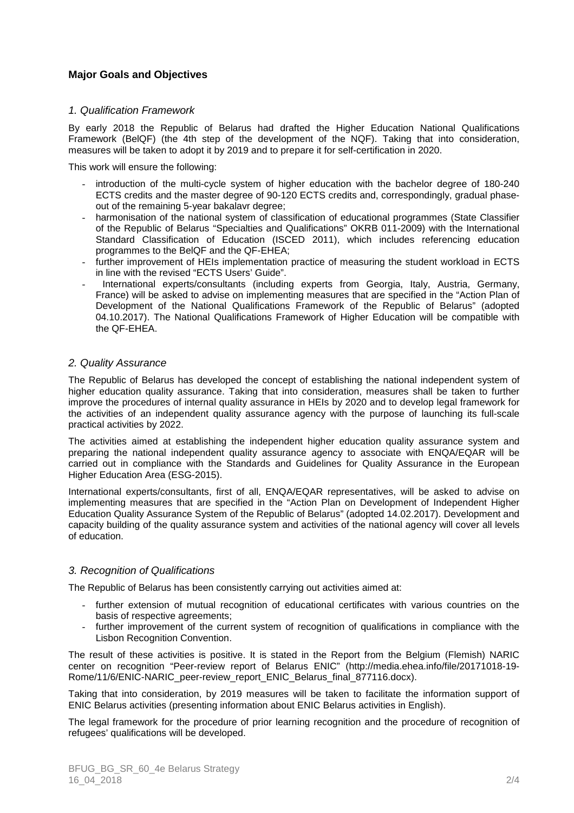# **Major Goals and Objectives**

### 1. Qualification Framework

By early 2018 the Republic of Belarus had drafted the Higher Education National Qualifications Framework (BelQF) (the 4th step of the development of the NQF). Taking that into consideration, measures will be taken to adopt it by 2019 and to prepare it for self-certification in 2020.

This work will ensure the following:

- introduction of the multi-cycle system of higher education with the bachelor degree of 180-240 ECTS credits and the master degree of 90-120 ECTS credits and, correspondingly, gradual phaseout of the remaining 5-year bakalavr degree;
- harmonisation of the national system of classification of educational programmes (State Classifier of the Republic of Belarus "Specialties and Qualifications" OKRB 011-2009) with the International Standard Classification of Education (ISCED 2011), which includes referencing education programmes to the BelQF and the QF-EHEA;
- further improvement of HEIs implementation practice of measuring the student workload in ECTS in line with the revised "ECTS Users' Guide".
- International experts/consultants (including experts from Georgia, Italy, Austria, Germany, France) will be asked to advise on implementing measures that are specified in the "Action Plan of Development of the National Qualifications Framework of the Republic of Belarus" (adopted 04.10.2017). The National Qualifications Framework of Higher Education will be compatible with the QF-EHEA.

### 2. Quality Assurance

The Republic of Belarus has developed the concept of establishing the national independent system of higher education quality assurance. Taking that into consideration, measures shall be taken to further improve the procedures of internal quality assurance in HEIs by 2020 and to develop legal framework for the activities of an independent quality assurance agency with the purpose of launching its full-scale practical activities by 2022.

The activities aimed at establishing the independent higher education quality assurance system and preparing the national independent quality assurance agency to associate with ENQA/EQAR will be carried out in compliance with the Standards and Guidelines for Quality Assurance in the European Higher Education Area (ESG-2015).

International experts/consultants, first of all, ENQA/EQAR representatives, will be asked to advise on implementing measures that are specified in the "Action Plan on Development of Independent Higher Education Quality Assurance System of the Republic of Belarus" (adopted 14.02.2017). Development and capacity building of the quality assurance system and activities of the national agency will cover all levels of education.

### 3. Recognition of Qualifications

The Republic of Belarus has been consistently carrying out activities aimed at:

- further extension of mutual recognition of educational certificates with various countries on the basis of respective agreements;
- further improvement of the current system of recognition of qualifications in compliance with the Lisbon Recognition Convention.

The result of these activities is positive. It is stated in the Report from the Belgium (Flemish) NARIC center on recognition "Peer-review report of Belarus ENIC" (http://media.ehea.info/file/20171018-19- Rome/11/6/ENIC-NARIC\_peer-review\_report\_ENIC\_Belarus\_final\_877116.docx).

Taking that into consideration, by 2019 measures will be taken to facilitate the information support of ENIC Belarus activities (presenting information about ENIC Belarus activities in English).

The legal framework for the procedure of prior learning recognition and the procedure of recognition of refugees' qualifications will be developed.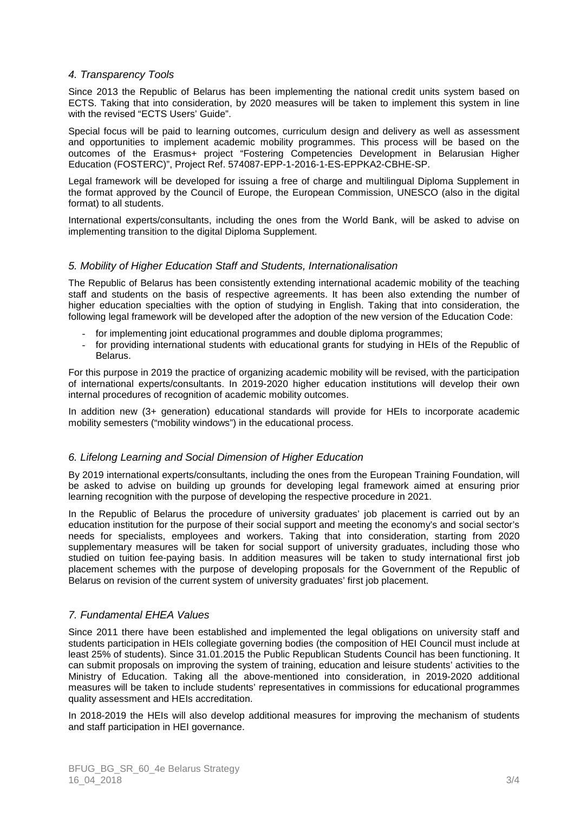## 4. Transparency Tools

Since 2013 the Republic of Belarus has been implementing the national credit units system based on ECTS. Taking that into consideration, by 2020 measures will be taken to implement this system in line with the revised "ECTS Users' Guide".

Special focus will be paid to learning outcomes, curriculum design and delivery as well as assessment and opportunities to implement academic mobility programmes. This process will be based on the outcomes of the Erasmus+ project "Fostering Competencies Development in Belarusian Higher Education (FOSTERC)", Project Ref. 574087-EPP-1-2016-1-ES-EPPKA2-CBHE-SP.

Legal framework will be developed for issuing a free of charge and multilingual Diploma Supplement in the format approved by the Council of Europe, the European Commission, UNESCO (also in the digital format) to all students.

International experts/consultants, including the ones from the World Bank, will be asked to advise on implementing transition to the digital Diploma Supplement.

### 5. Mobility of Higher Education Staff and Students, Internationalisation

The Republic of Belarus has been consistently extending international academic mobility of the teaching staff and students on the basis of respective agreements. It has been also extending the number of higher education specialties with the option of studying in English. Taking that into consideration, the following legal framework will be developed after the adoption of the new version of the Education Code:

- for implementing joint educational programmes and double diploma programmes;
- for providing international students with educational grants for studying in HEIs of the Republic of Belarus.

For this purpose in 2019 the practice of organizing academic mobility will be revised, with the participation of international experts/consultants. In 2019-2020 higher education institutions will develop their own internal procedures of recognition of academic mobility outcomes.

In addition new (3+ generation) educational standards will provide for HEIs to incorporate academic mobility semesters ("mobility windows") in the educational process.

### 6. Lifelong Learning and Social Dimension of Higher Education

By 2019 international experts/consultants, including the ones from the European Training Foundation, will be asked to advise on building up grounds for developing legal framework aimed at ensuring prior learning recognition with the purpose of developing the respective procedure in 2021.

In the Republic of Belarus the procedure of university graduates' job placement is carried out by an education institution for the purpose of their social support and meeting the economy's and social sector's needs for specialists, employees and workers. Taking that into consideration, starting from 2020 supplementary measures will be taken for social support of university graduates, including those who studied on tuition fee-paying basis. In addition measures will be taken to study international first job placement schemes with the purpose of developing proposals for the Government of the Republic of Belarus on revision of the current system of university graduates' first job placement.

## 7. Fundamental EHEA Values

Since 2011 there have been established and implemented the legal obligations on university staff and students participation in HEIs collegiate governing bodies (the composition of HEI Council must include at least 25% of students). Since 31.01.2015 the Public Republican Students Council has been functioning. It can submit proposals on improving the system of training, education and leisure students' activities to the Ministry of Education. Taking all the above-mentioned into consideration, in 2019-2020 additional measures will be taken to include students' representatives in commissions for educational programmes quality assessment and HEIs accreditation.

In 2018-2019 the HEIs will also develop additional measures for improving the mechanism of students and staff participation in HEI governance.